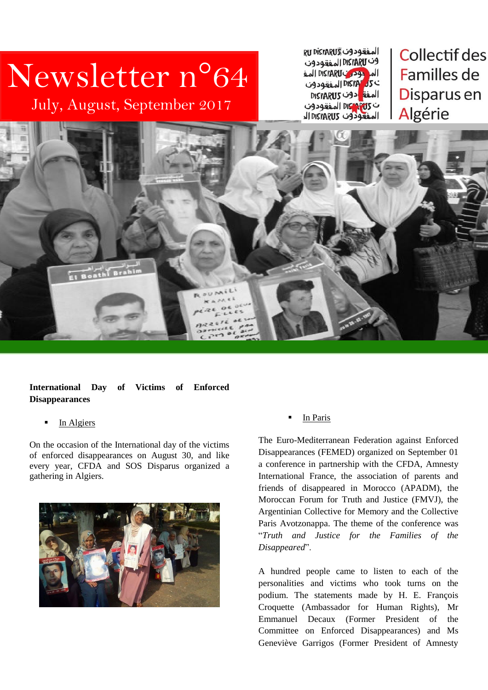# Newsletter n°64

July, August, September 2017

**RU DISTARUS CO 24 BET** وف DISTARU المفقودون All DISTARUS 299 All DISTATUS المفة دون DISTARUS ت DISARTIS المفقودون المفعودون DISTARUS الد

**Collectif des** Familles de Disparus en Algérie



**International Day of Victims of Enforced Disappearances**

In Algiers

On the occasion of the International day of the victims of enforced disappearances on August 30, and like every year, CFDA and SOS Disparus organized a gathering in Algiers.



In Paris

The Euro-Mediterranean Federation against Enforced Disappearances (FEMED) organized on September 01 a conference in partnership with the CFDA, Amnesty International France, the association of parents and friends of disappeared in Morocco (APADM), the Moroccan Forum for Truth and Justice (FMVJ), the Argentinian Collective for Memory and the Collective Paris Avotzonappa. The theme of the conference was "*Truth and Justice for the Families of the Disappeared*".

A hundred people came to listen to each of the personalities and victims who took turns on the podium. The statements made by H. E. François Croquette (Ambassador for Human Rights), Mr Emmanuel Decaux (Former President of the Committee on Enforced Disappearances) and Ms Geneviève Garrigos (Former President of Amnesty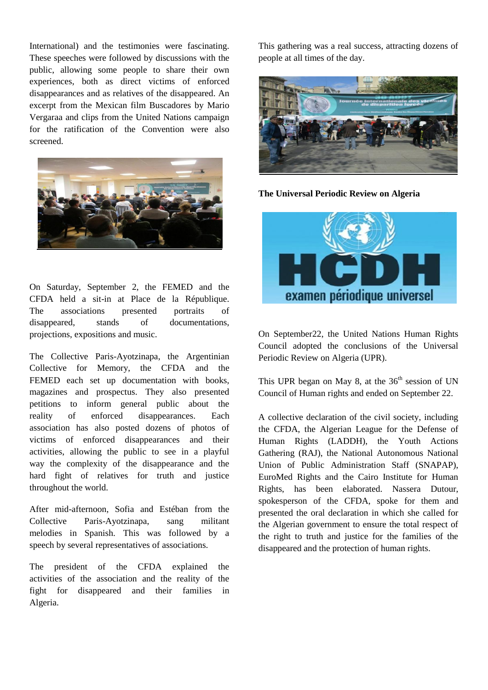International) and the testimonies were fascinating. These speeches were followed by discussions with the public, allowing some people to share their own experiences, both as direct victims of enforced disappearances and as relatives of the disappeared. An excerpt from the Mexican film Buscadores by Mario Vergaraa and clips from the United Nations campaign for the ratification of the Convention were also screened.



On Saturday, September 2, the FEMED and the CFDA held a sit-in at Place de la République. The associations presented portraits of disappeared, stands of documentations, projections, expositions and music.

The Collective Paris-Ayotzinapa, the Argentinian Collective for Memory, the CFDA and the FEMED each set up documentation with books, magazines and prospectus. They also presented petitions to inform general public about the reality of enforced disappearances. Each association has also posted dozens of photos of victims of enforced disappearances and their activities, allowing the public to see in a playful way the complexity of the disappearance and the hard fight of relatives for truth and justice throughout the world.

After mid-afternoon, Sofia and Estéban from the Collective Paris-Ayotzinapa, sang militant melodies in Spanish. This was followed by a speech by several representatives of associations.

The president of the CFDA explained the activities of the association and the reality of the fight for disappeared and their families in Algeria.

This gathering was a real success, attracting dozens of people at all times of the day.



**The Universal Periodic Review on Algeria**



On September22, the United Nations Human Rights Council adopted the conclusions of the Universal Periodic Review on Algeria (UPR).

This UPR began on May 8, at the  $36<sup>th</sup>$  session of UN Council of Human rights and ended on September 22.

A collective declaration of the civil society, including the CFDA, the Algerian League for the Defense of Human Rights (LADDH), the Youth Actions Gathering (RAJ), the National Autonomous National Union of Public Administration Staff (SNAPAP), EuroMed Rights and the Cairo Institute for Human Rights, has been elaborated. Nassera Dutour, spokesperson of the CFDA, spoke for them and presented the oral declaration in which she called for the Algerian government to ensure the total respect of the right to truth and justice for the families of the disappeared and the protection of human rights.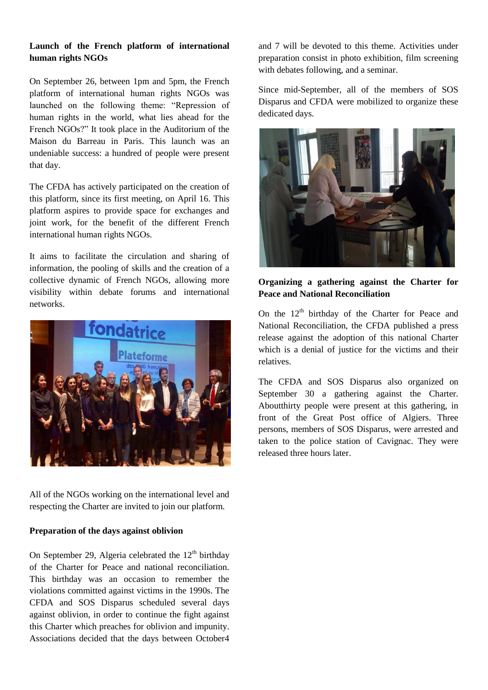### **Launch of the French platform of international human rights NGOs**

On September 26, between 1pm and 5pm, the French platform of international human rights NGOs was launched on the following theme: "Repression of human rights in the world, what lies ahead for the French NGOs?" It took place in the Auditorium of the Maison du Barreau in Paris. This launch was an undeniable success: a hundred of people were present that day.

The CFDA has actively participated on the creation of this platform, since its first meeting, on April 16. This platform aspires to provide space for exchanges and joint work, for the benefit of the different French international human rights NGOs.

It aims to facilitate the circulation and sharing of information, the pooling of skills and the creation of a collective dynamic of French NGOs, allowing more visibility within debate forums and international networks.



All of the NGOs working on the international level and respecting the Charter are invited to join our platform.

#### **Preparation of the days against oblivion**

On September 29, Algeria celebrated the  $12<sup>th</sup>$  birthday of the Charter for Peace and national reconciliation. This birthday was an occasion to remember the violations committed against victims in the 1990s. The CFDA and SOS Disparus scheduled several days against oblivion, in order to continue the fight against this Charter which preaches for oblivion and impunity. Associations decided that the days between October4

and 7 will be devoted to this theme. Activities under preparation consist in photo exhibition, film screening with debates following, and a seminar.

Since mid-September, all of the members of SOS Disparus and CFDA were mobilized to organize these dedicated days.



#### **Organizing a gathering against the Charter for Peace and National Reconciliation**

On the  $12<sup>th</sup>$  birthday of the Charter for Peace and National Reconciliation, the CFDA published a press release against the adoption of this national Charter which is a denial of justice for the victims and their relatives.

The CFDA and SOS Disparus also organized on September 30 a gathering against the Charter. Aboutthirty people were present at this gathering, in front of the Great Post office of Algiers. Three persons, members of SOS Disparus, were arrested and taken to the police station of Cavignac. They were released three hours later.